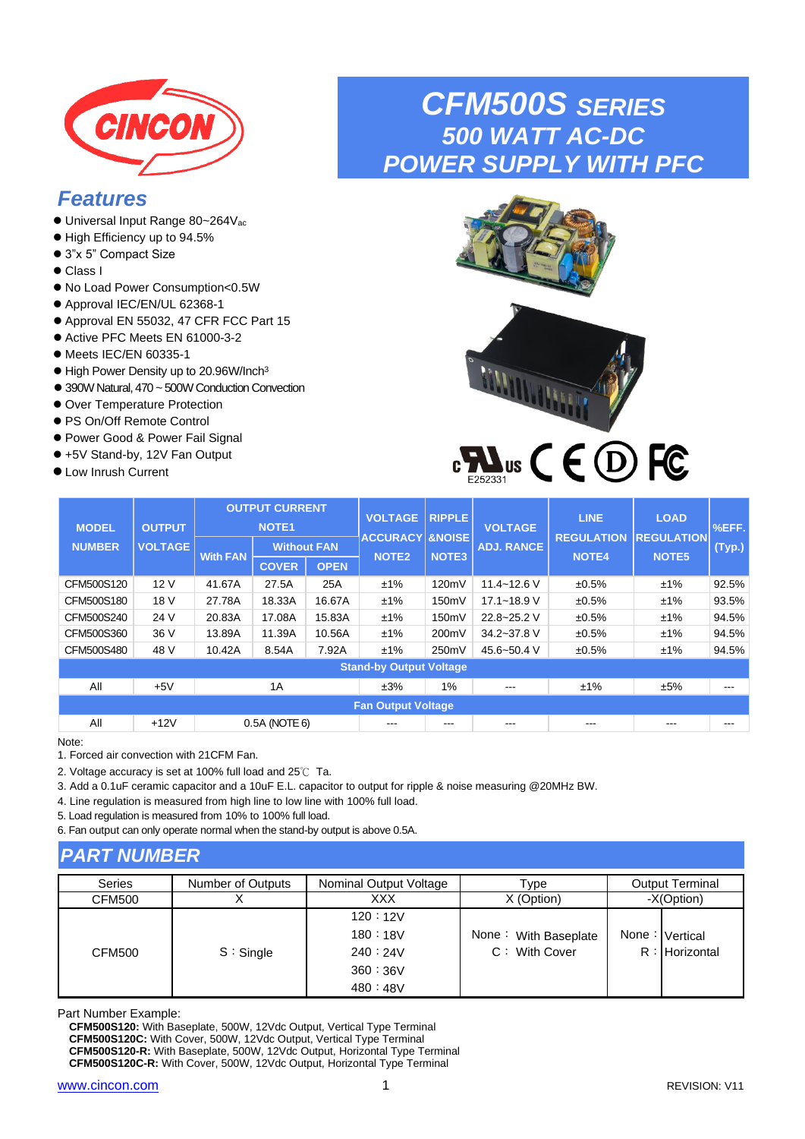

# *Features*

- ⚫ Universal Input Range 80~264Vac
- ⚫ High Efficiency up to 94.5%
- 3"x 5" Compact Size
- ⚫ Class I
- ⚫ No Load Power Consumption<0.5W
- ⚫ Approval IEC/EN/UL 62368-1
- ⚫ Approval EN 55032, 47 CFR FCC Part 15
- Active PFC Meets EN 61000-3-2
- ⚫ Meets IEC/EN 60335-1
- High Power Density up to 20.96W/Inch<sup>3</sup>
- 390W Natural, 470 ~ 500W Conduction Convection
- ⚫ Over Temperature Protection
- ⚫ PS On/Off Remote Control
- Power Good & Power Fail Signal
- +5V Stand-by, 12V Fan Output
- Low Inrush Current

# *CFM500S SERIES 500 WATT AC-DC POWER SUPPLY WITH PFC*





| <b>MODEL</b>                   | <b>OUTPUT</b>  |                 | <b>OUTPUT CURRENT</b><br><b>NOTE1</b> |             | <b>VOLTAGE</b>            | <b>RIPPLE</b><br><b>VOLTAGE</b><br><b>ACCURACY &amp;NOISE</b> |                   | <b>LINE</b><br><b>REGULATION</b> | <b>LOAD</b><br><b>REGULATION</b> | %EFF.  |
|--------------------------------|----------------|-----------------|---------------------------------------|-------------|---------------------------|---------------------------------------------------------------|-------------------|----------------------------------|----------------------------------|--------|
| <b>NUMBER</b>                  | <b>VOLTAGE</b> | <b>With FAN</b> | <b>Without FAN</b>                    |             | NOTE <sub>2</sub>         | NOTE <sub>3</sub>                                             | <b>ADJ. RANCE</b> | <b>NOTE4</b>                     | NOTE <sub>5</sub>                | (Typ.) |
|                                |                |                 | <b>COVER</b>                          | <b>OPEN</b> |                           |                                                               |                   |                                  |                                  |        |
| CFM500S120                     | 12V            | 41.67A          | 27.5A                                 | 25A         | ±1%                       | 120mV                                                         | $11.4 - 12.6$ V   | ±0.5%                            | ±1%                              | 92.5%  |
| CFM500S180                     | 18 V           | 27.78A          | 18.33A                                | 16.67A      | ±1%                       | 150mV                                                         | $17.1 - 18.9$ V   | ±0.5%                            | ±1%                              | 93.5%  |
| CFM500S240                     | 24 V           | 20.83A          | 17.08A                                | 15.83A      | ±1%                       | 150mV                                                         | 22.8~25.2 V       | ±0.5%                            | ±1%                              | 94.5%  |
| CFM500S360                     | 36 V           | 13.89A          | 11.39A                                | 10.56A      | ±1%                       | 200mV                                                         | 34.2~37.8 V       | ±0.5%                            | ±1%                              | 94.5%  |
| CFM500S480                     | 48 V           | 10.42A          | 8.54A                                 | 7.92A       | ±1%                       | 250mV                                                         | 45.6~50.4 V       | ±0.5%                            | ±1%                              | 94.5%  |
| <b>Stand-by Output Voltage</b> |                |                 |                                       |             |                           |                                                               |                   |                                  |                                  |        |
| All                            | $+5V$          |                 | 1A                                    |             | ±3%                       | 1%                                                            | ---               | ±1%                              | ±5%                              | ---    |
|                                |                |                 |                                       |             | <b>Fan Output Voltage</b> |                                                               |                   |                                  |                                  |        |
| All                            | $+12V$         |                 | 0.5A (NOTE 6)                         |             | ---                       | ---                                                           |                   | ---                              | ---                              | ---    |

Note:

1. Forced air convection with 21CFM Fan.

2. Voltage accuracy is set at 100% full load and 25℃ Ta.

3. Add a 0.1uF ceramic capacitor and a 10uF E.L. capacitor to output for ripple & noise measuring @20MHz BW.

4. Line regulation is measured from high line to low line with 100% full load.

5. Load regulation is measured from 10% to 100% full load.

6. Fan output can only operate normal when the stand-by output is above 0.5A.

## *PART NUMBER*

| <b>Series</b> | Number of Outputs | Nominal Output Voltage | Type                 | <b>Output Terminal</b>           |
|---------------|-------------------|------------------------|----------------------|----------------------------------|
| <b>CFM500</b> |                   | <b>XXX</b>             | X (Option)           | -X(Option)                       |
|               |                   | 120:12V                |                      |                                  |
|               |                   | 180:18V                | None: With Baseplate | None: $\blacksquare$<br>Vertical |
| <b>CFM500</b> | S: Single         | 240:24V                | $C:$ With Cover      | R: Horizontal                    |
|               |                   | 360:36V                |                      |                                  |
|               |                   | 480 : 48V              |                      |                                  |

Part Number Example:

**CFM500S120:** With Baseplate, 500W, 12Vdc Output, Vertical Type Terminal **CFM500S120C:** With Cover, 500W, 12Vdc Output, Vertical Type Terminal **CFM500S120-R:** With Baseplate, 500W, 12Vdc Output, Horizontal Type Terminal **CFM500S120C-R:** With Cover, 500W, 12Vdc Output, Horizontal Type Terminal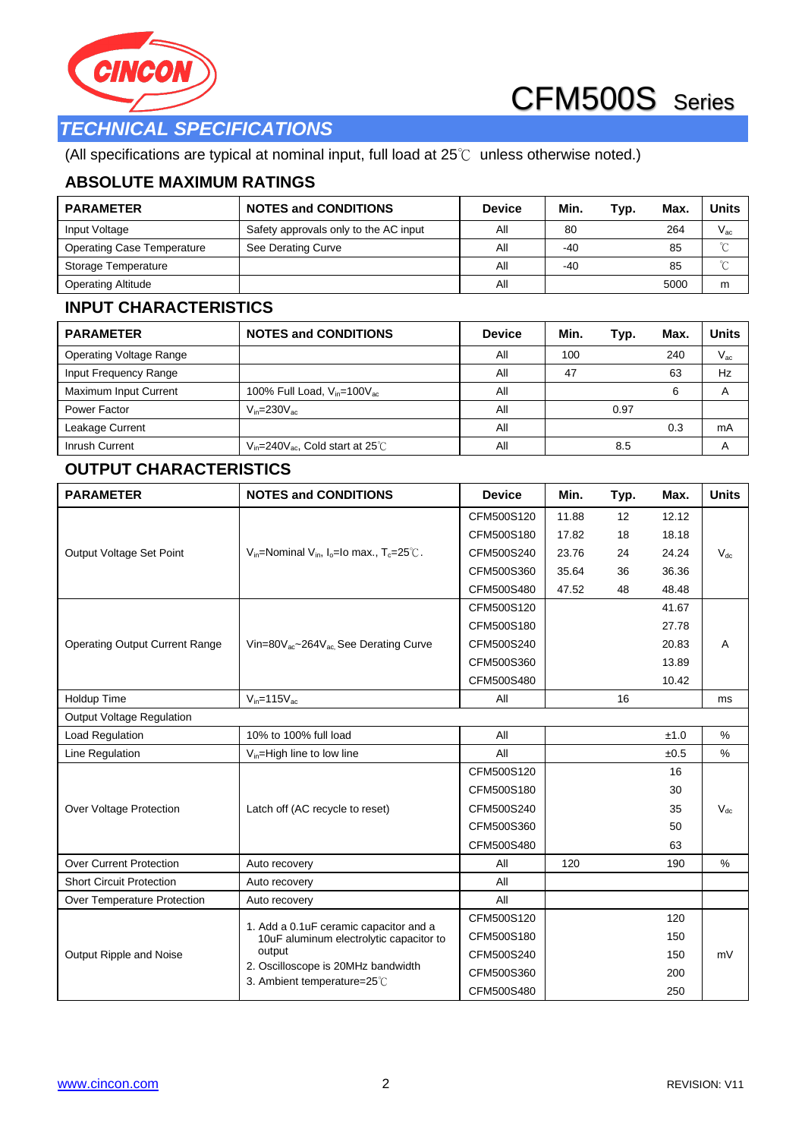

## *TECHNICAL SPECIFICATIONS*

(All specifications are typical at nominal input, full load at 25℃ unless otherwise noted.)

## **ABSOLUTE MAXIMUM RATINGS**

| <b>PARAMETER</b>                  | <b>NOTES and CONDITIONS</b>           | <b>Device</b> | Min.  | Typ. | Max. | <b>Units</b> |
|-----------------------------------|---------------------------------------|---------------|-------|------|------|--------------|
| Input Voltage                     | Safety approvals only to the AC input | ΑIΙ           | 80    |      | 264  | $V_{ac}$     |
| <b>Operating Case Temperature</b> | See Derating Curve                    | Αll           | $-40$ |      | 85   | $\sim$       |
| Storage Temperature               |                                       | ΑIΙ           | $-40$ |      | 85   | ∽            |
| <b>Operating Altitude</b>         |                                       | Αll           |       |      | 5000 | m            |

## **INPUT CHARACTERISTICS**

| <b>PARAMETER</b>               | <b>NOTES and CONDITIONS</b>                    | <b>Device</b> | Min. | Typ. | Max. | Units    |
|--------------------------------|------------------------------------------------|---------------|------|------|------|----------|
| <b>Operating Voltage Range</b> |                                                | All           | 100  |      | 240  | $V_{ac}$ |
| Input Frequency Range          |                                                | All           | 47   |      | 63   | Hz       |
| Maximum Input Current          | 100% Full Load, $V_{in}$ =100 $V_{ac}$         | Αll           |      |      | 6    |          |
| Power Factor                   | $V_{in} = 230 V_{ac}$                          | All           |      | 0.97 |      |          |
| Leakage Current                |                                                | Αll           |      |      | 0.3  | mA       |
| Inrush Current                 | $V_{in}$ =240 $V_{ac}$ , Cold start at 25 $°C$ | Αll           |      | 8.5  |      |          |

## **OUTPUT CHARACTERISTICS**

| <b>PARAMETER</b>                      | <b>NOTES and CONDITIONS</b>                                                 | <b>Device</b> | Min.  | Typ. | Max.  | <b>Units</b> |
|---------------------------------------|-----------------------------------------------------------------------------|---------------|-------|------|-------|--------------|
|                                       |                                                                             | CFM500S120    | 11.88 | 12   | 12.12 |              |
|                                       |                                                                             | CFM500S180    | 17.82 | 18   | 18.18 |              |
| Output Voltage Set Point              | $V_{in}$ =Nominal $V_{in}$ , I <sub>o</sub> =Io max., T <sub>c</sub> =25°C. | CFM500S240    | 23.76 | 24   | 24.24 | $V_{dc}$     |
|                                       |                                                                             | CFM500S360    | 35.64 | 36   | 36.36 |              |
|                                       |                                                                             | CFM500S480    | 47.52 | 48   | 48.48 |              |
|                                       |                                                                             | CFM500S120    |       |      | 41.67 |              |
|                                       |                                                                             | CFM500S180    |       |      | 27.78 |              |
| <b>Operating Output Current Range</b> | Vin=80V <sub>ac</sub> ~264V <sub>ac</sub> , See Derating Curve              | CFM500S240    |       |      | 20.83 | A            |
|                                       |                                                                             | CFM500S360    |       |      | 13.89 |              |
|                                       |                                                                             | CFM500S480    |       |      | 10.42 |              |
| Holdup Time                           | $V_{in} = 115V_{ac}$                                                        | All           |       | 16   |       | ms           |
| <b>Output Voltage Regulation</b>      |                                                                             |               |       |      |       |              |
| Load Regulation                       | 10% to 100% full load                                                       | All           |       |      | ±1.0  | %            |
| Line Regulation                       | $V_{in}$ =High line to low line                                             | All           |       |      | ±0.5  | %            |
|                                       |                                                                             | CFM500S120    |       |      | 16    |              |
|                                       |                                                                             | CFM500S180    |       |      | 30    |              |
| Over Voltage Protection               | Latch off (AC recycle to reset)                                             | CFM500S240    |       |      | 35    | $V_{dc}$     |
|                                       |                                                                             | CFM500S360    |       |      | 50    |              |
|                                       |                                                                             | CFM500S480    |       |      | 63    |              |
| <b>Over Current Protection</b>        | Auto recovery                                                               | All           | 120   |      | 190   | $\%$         |
| <b>Short Circuit Protection</b>       | Auto recovery                                                               | All           |       |      |       |              |
| Over Temperature Protection           | Auto recovery                                                               | All           |       |      |       |              |
|                                       | 1. Add a 0.1uF ceramic capacitor and a                                      | CFM500S120    |       |      | 120   |              |
|                                       | 10uF aluminum electrolytic capacitor to                                     | CFM500S180    |       |      | 150   |              |
| Output Ripple and Noise               | output                                                                      | CFM500S240    |       |      | 150   | mV           |
|                                       | 2. Oscilloscope is 20MHz bandwidth                                          | CFM500S360    |       |      | 200   |              |
|                                       | 3. Ambient temperature=25°C                                                 | CFM500S480    |       |      | 250   |              |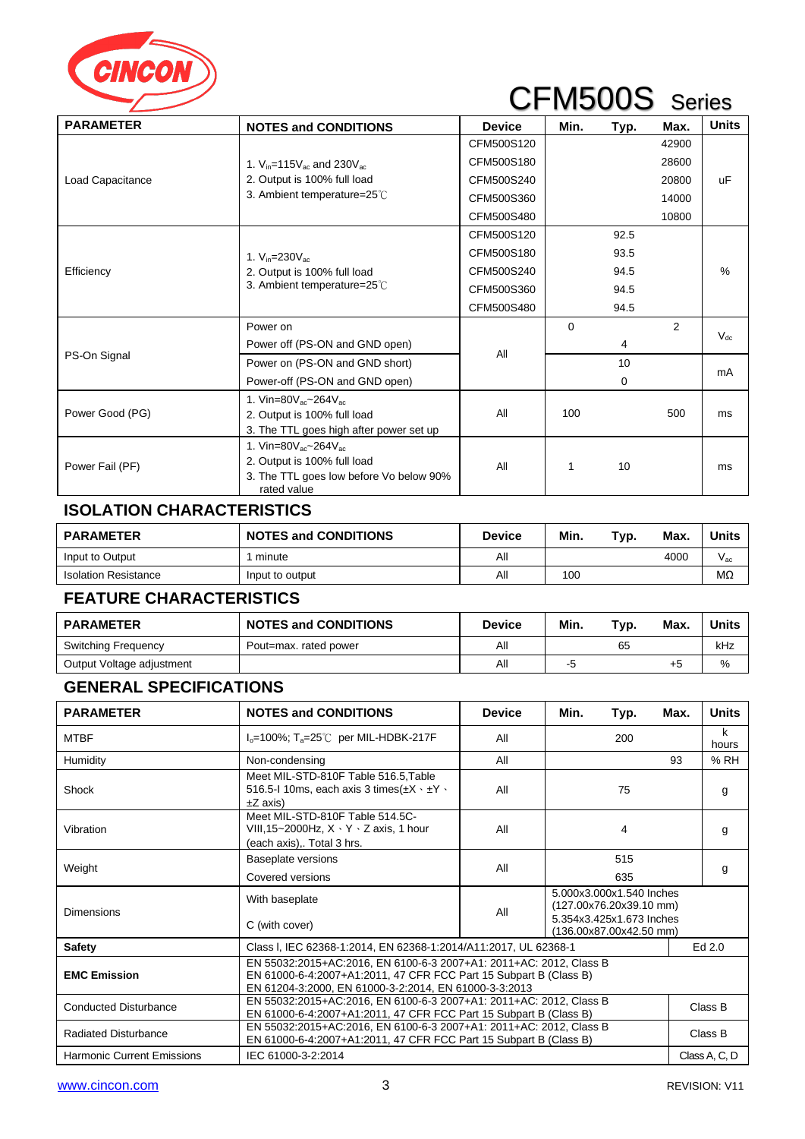

| <b>PARAMETER</b> | <b>NOTES and CONDITIONS</b>                                                            | <b>Device</b> | Min.     | Typ.     | Max.  | <b>Units</b> |
|------------------|----------------------------------------------------------------------------------------|---------------|----------|----------|-------|--------------|
|                  |                                                                                        | CFM500S120    |          |          | 42900 |              |
|                  | 1. $V_{in} = 115V_{ac}$ and $230V_{ac}$                                                | CFM500S180    |          |          | 28600 |              |
| Load Capacitance | 2. Output is 100% full load                                                            | CFM500S240    |          |          | 20800 | uF           |
|                  | 3. Ambient temperature=25°C                                                            | CFM500S360    |          |          | 14000 |              |
|                  |                                                                                        | CFM500S480    |          |          | 10800 |              |
|                  |                                                                                        | CFM500S120    |          | 92.5     |       |              |
|                  | 1. $V_{in} = 230 V_{ac}$<br>2. Output is 100% full load<br>3. Ambient temperature=25°C | CFM500S180    |          | 93.5     |       |              |
| Efficiency       |                                                                                        | CFM500S240    |          | 94.5     |       | $\%$         |
|                  |                                                                                        | CFM500S360    |          | 94.5     |       |              |
|                  |                                                                                        | CFM500S480    |          | 94.5     |       |              |
|                  | Power on                                                                               |               | $\Omega$ |          | 2     |              |
|                  | Power off (PS-ON and GND open)                                                         |               |          | 4        |       | $V_{dc}$     |
| PS-On Signal     | Power on (PS-ON and GND short)                                                         | All           |          | 10       |       |              |
|                  | Power-off (PS-ON and GND open)                                                         |               |          | $\Omega$ |       | mA           |
|                  | 1. Vin=80 $V_{ac}$ ~264 $V_{ac}$                                                       |               |          |          |       |              |
| Power Good (PG)  | 2. Output is 100% full load                                                            | All           | 100      |          | 500   | ms           |
|                  | 3. The TTL goes high after power set up                                                |               |          |          |       |              |
|                  | 1. Vin=80 $V_{ac}$ ~264 $V_{ac}$                                                       |               |          |          |       |              |
| Power Fail (PF)  | 2. Output is 100% full load                                                            | All           |          | 10       |       | ms           |
|                  | 3. The TTL goes low before Vo below 90%<br>rated value                                 |               |          |          |       |              |

## **ISOLATION CHARACTERISTICS**

| <b>PARAMETER</b>            | <b>NOTES and CONDITIONS</b> | <b>Device</b> | Min. | Typ. | Max. | <b>Units</b>    |
|-----------------------------|-----------------------------|---------------|------|------|------|-----------------|
| Input to Output             | minute                      | All           |      |      | 4000 | $V_{\text{ac}}$ |
| <b>Isolation Resistance</b> | Input to output             | Αll           | 100  |      |      | MΩ              |

## **FEATURE CHARACTERISTICS**

| <b>PARAMETER</b>          | <b>NOTES and CONDITIONS</b> | <b>Device</b> | Min. | Typ. | Max. | Units |
|---------------------------|-----------------------------|---------------|------|------|------|-------|
| Switching Frequency       | Pout=max, rated power       | All           |      | 65   |      | kHz   |
| Output Voltage adjustment |                             | All           | -0   |      |      | %     |

## **GENERAL SPECIFICATIONS**

| <b>PARAMETER</b>                  | <b>NOTES and CONDITIONS</b>                                                                                                                                                                      | <b>Device</b> | Min.                                                                                                       | Typ.   | Max. | <b>Units</b>  |  |
|-----------------------------------|--------------------------------------------------------------------------------------------------------------------------------------------------------------------------------------------------|---------------|------------------------------------------------------------------------------------------------------------|--------|------|---------------|--|
| <b>MTBF</b>                       | $I_0$ =100%; T <sub>a</sub> =25°C per MIL-HDBK-217F                                                                                                                                              | All           |                                                                                                            | 200    |      | k<br>hours    |  |
| Humidity                          | Non-condensing                                                                                                                                                                                   | All           |                                                                                                            |        | 93   | %RH           |  |
| Shock                             | Meet MIL-STD-810F Table 516.5, Table<br>516.5-1 10ms, each axis 3 times $(\pm X \cdot \pm Y \cdot$<br>$\pm Z$ axis)                                                                              | All           |                                                                                                            | 75     |      | g             |  |
| Vibration                         | Meet MIL-STD-810F Table 514.5C-<br>VIII, 15~2000Hz, $X \cdot Y \cdot Z$ axis, 1 hour<br>(each axis),. Total 3 hrs.                                                                               | All           |                                                                                                            | 4      |      | g             |  |
|                                   | Baseplate versions                                                                                                                                                                               | All           | 515                                                                                                        |        |      |               |  |
| Weight                            | Covered versions                                                                                                                                                                                 |               |                                                                                                            | 635    |      | g             |  |
| Dimensions                        | With baseplate<br>C (with cover)                                                                                                                                                                 | All           | 5.000x3.000x1.540 Inches<br>(127.00x76.20x39.10 mm)<br>5.354x3.425x1.673 Inches<br>(136.00x87.00x42.50 mm) |        |      |               |  |
| Safety                            | Class I, IEC 62368-1:2014, EN 62368-1:2014/A11:2017, UL 62368-1                                                                                                                                  |               |                                                                                                            | Ed 2.0 |      |               |  |
| <b>EMC Emission</b>               | EN 55032:2015+AC:2016, EN 6100-6-3 2007+A1: 2011+AC: 2012, Class B<br>EN 61000-6-4:2007+A1:2011, 47 CFR FCC Part 15 Subpart B (Class B)<br>EN 61204-3:2000, EN 61000-3-2:2014, EN 61000-3-3:2013 |               |                                                                                                            |        |      |               |  |
| <b>Conducted Disturbance</b>      | EN 55032:2015+AC:2016, EN 6100-6-3 2007+A1: 2011+AC: 2012, Class B<br>EN 61000-6-4:2007+A1:2011, 47 CFR FCC Part 15 Subpart B (Class B)                                                          |               |                                                                                                            |        |      | Class B       |  |
| <b>Radiated Disturbance</b>       | EN 55032:2015+AC:2016, EN 6100-6-3 2007+A1: 2011+AC: 2012, Class B<br>EN 61000-6-4:2007+A1:2011, 47 CFR FCC Part 15 Subpart B (Class B)                                                          |               | Class B                                                                                                    |        |      |               |  |
| <b>Harmonic Current Emissions</b> | IEC 61000-3-2:2014                                                                                                                                                                               |               |                                                                                                            |        |      | Class A, C, D |  |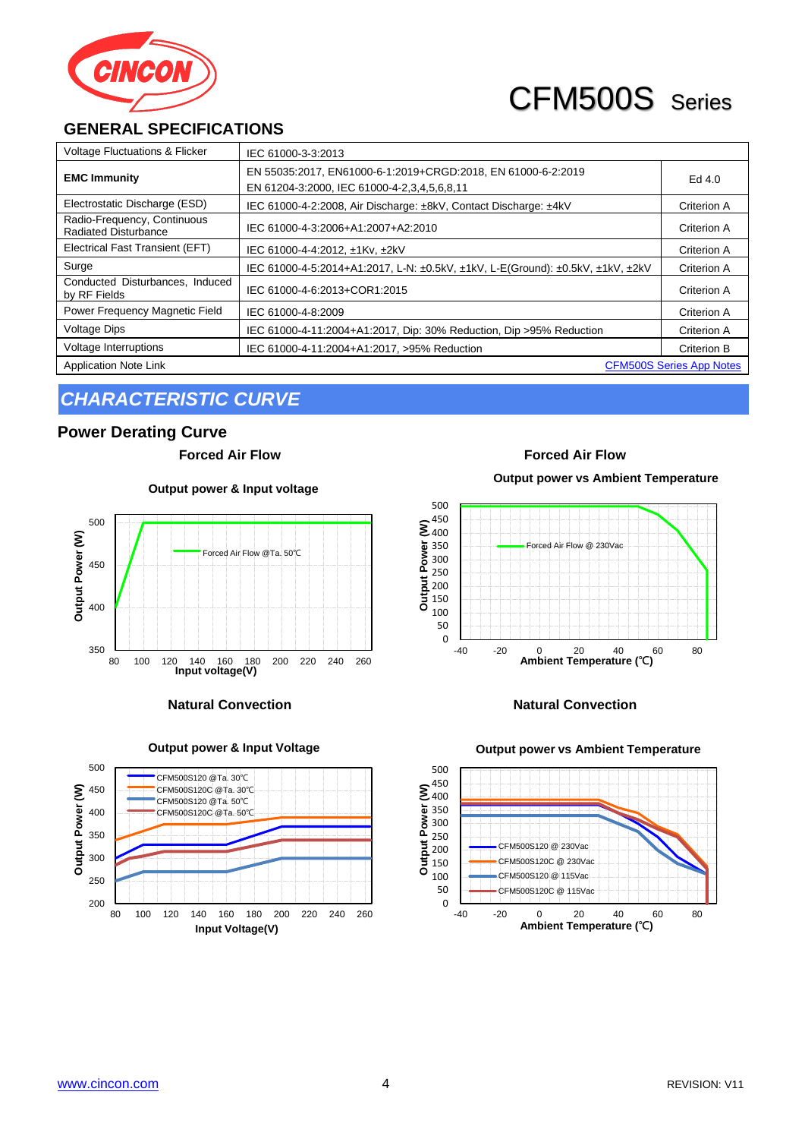

## **GENERAL SPECIFICATIONS**

| <b>Voltage Fluctuations &amp; Flicker</b>                       | IEC 61000-3-3:2013                                                                                          |             |  |  |
|-----------------------------------------------------------------|-------------------------------------------------------------------------------------------------------------|-------------|--|--|
| <b>EMC Immunity</b>                                             | EN 55035:2017, EN61000-6-1:2019+CRGD:2018, EN 61000-6-2:2019<br>EN 61204-3:2000, IEC 61000-4-2,3,4,5,6,8,11 | Ed 4.0      |  |  |
| Electrostatic Discharge (ESD)                                   | IEC 61000-4-2:2008, Air Discharge: ±8kV, Contact Discharge: ±4kV                                            | Criterion A |  |  |
| Radio-Frequency, Continuous<br><b>Radiated Disturbance</b>      | IEC 61000-4-3:2006+A1:2007+A2:2010                                                                          | Criterion A |  |  |
| Electrical Fast Transient (EFT)                                 | IEC 61000-4-4:2012, ±1Kv, ±2kV                                                                              | Criterion A |  |  |
| Surge                                                           | IEC 61000-4-5:2014+A1:2017, L-N: ±0.5kV, ±1kV, L-E(Ground): ±0.5kV, ±1kV, ±2kV                              | Criterion A |  |  |
| Conducted Disturbances, Induced<br>by RF Fields                 | IEC 61000-4-6:2013+COR1:2015                                                                                | Criterion A |  |  |
| Power Frequency Magnetic Field                                  | IEC 61000-4-8:2009                                                                                          | Criterion A |  |  |
| <b>Voltage Dips</b>                                             | IEC 61000-4-11:2004+A1:2017, Dip: 30% Reduction, Dip > 95% Reduction                                        | Criterion A |  |  |
| Voltage Interruptions                                           | IEC 61000-4-11:2004+A1:2017, >95% Reduction                                                                 | Criterion B |  |  |
| <b>Application Note Link</b><br><b>CFM500S Series App Notes</b> |                                                                                                             |             |  |  |

# *CHARACTERISTIC CURVE*

### **Power Derating Curve**

**Forced Air Flow Forced Air Flow**

**Output power & Input voltage**





**Output power & Input Voltage**

**Output power vs Ambient Temperature**



### **Natural Convection Natural Convection**

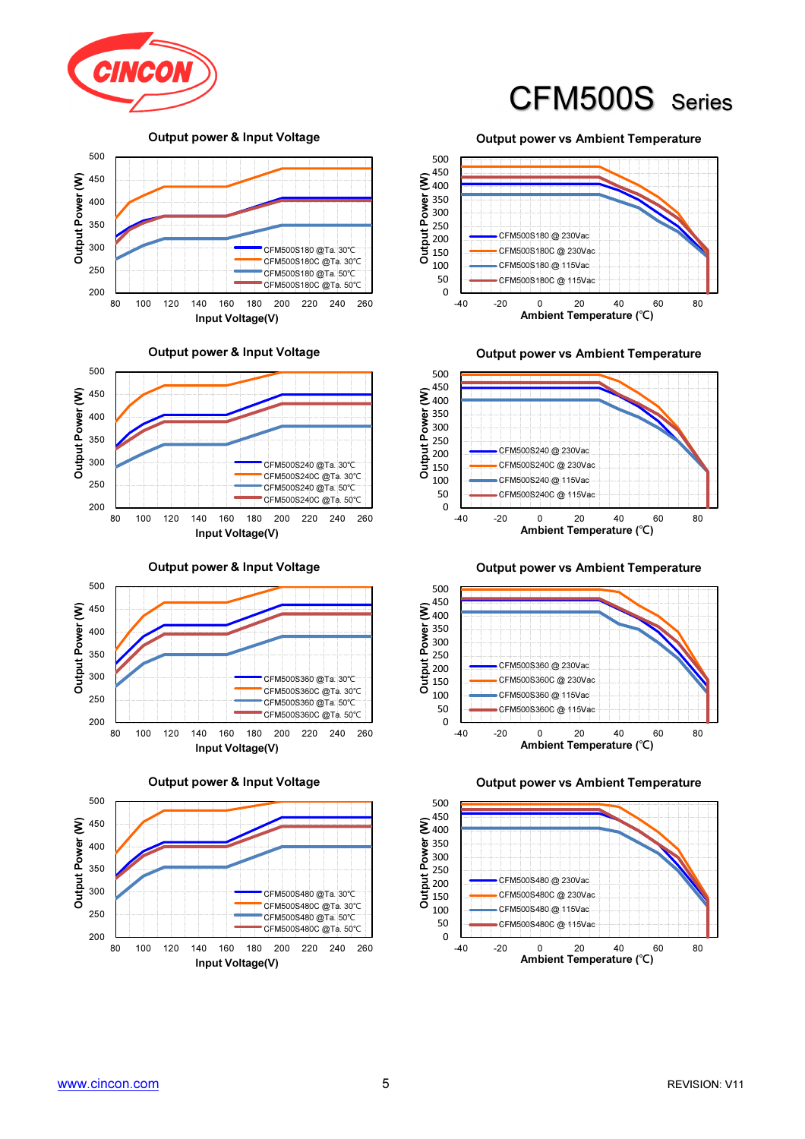

Output power & Input Voltage



Output power & Input Voltage



Output power & Input Voltage



Output power & Input Voltage



Output power vs Ambient Temperature



Output power vs Ambient Temperature



Output power vs Ambient Temperature





Output power vs Ambient Temperature



450 500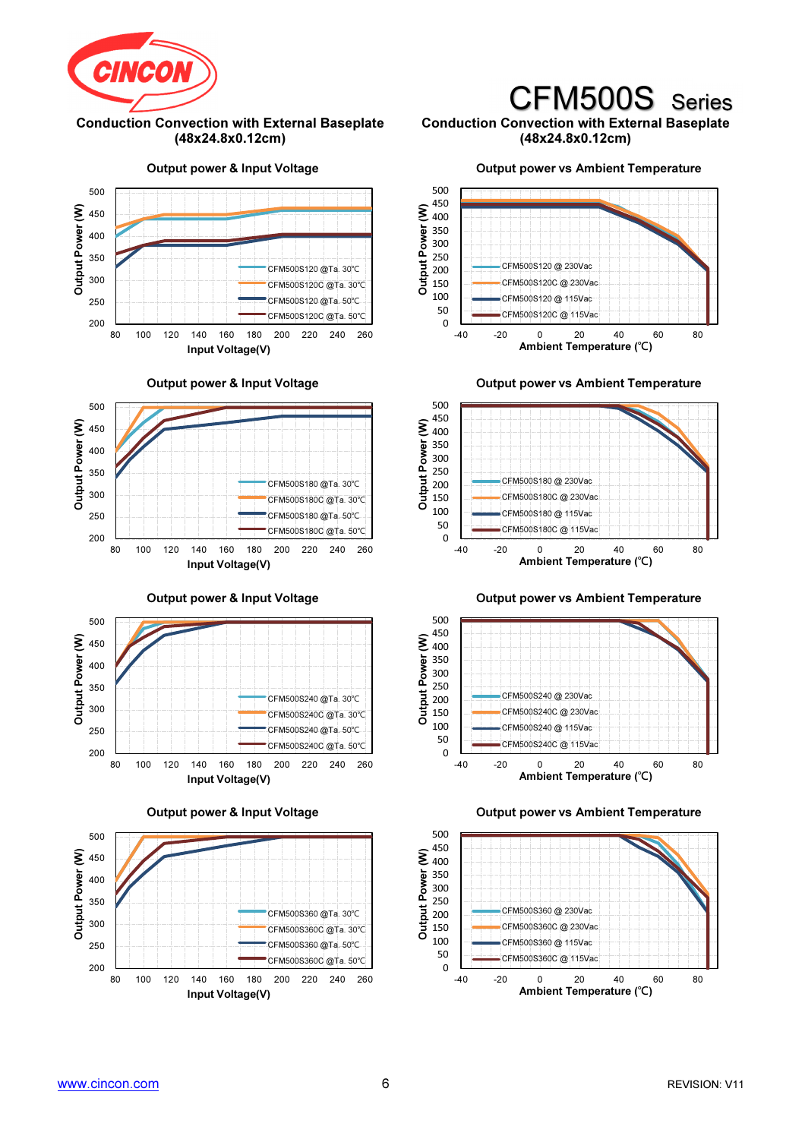

#### Conduction Convection with External Baseplate (48x24.8x0.12cm)

#### Conduction Convection with External Baseplate (48x24.8x0.12cm)

CFM500S Series

Output power & Input Voltage



Output power & Input Voltage



Output power & Input Voltage



Output power & Input Voltage



Output power vs Ambient Temperature







Output power vs Ambient Temperature





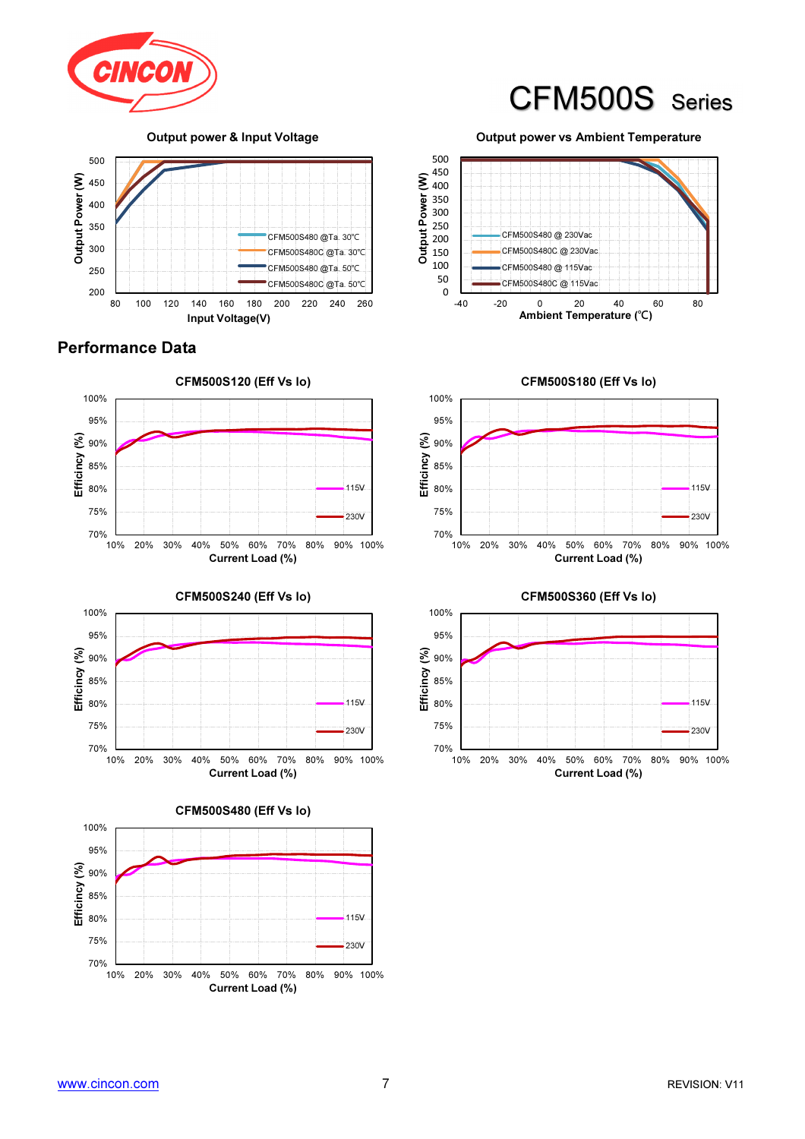

Output power & Input Voltage



## Performance Data





70% 75% 80% 85% 90% 95% 100% 10% 20% 30% 40% 50% 60% 70% 80% 90% 100% Efficincy (%) Current Load (%) CFM500S480 (Eff Vs Io) 115V 230V

Output power vs Ambient Temperature

CFM500S Series